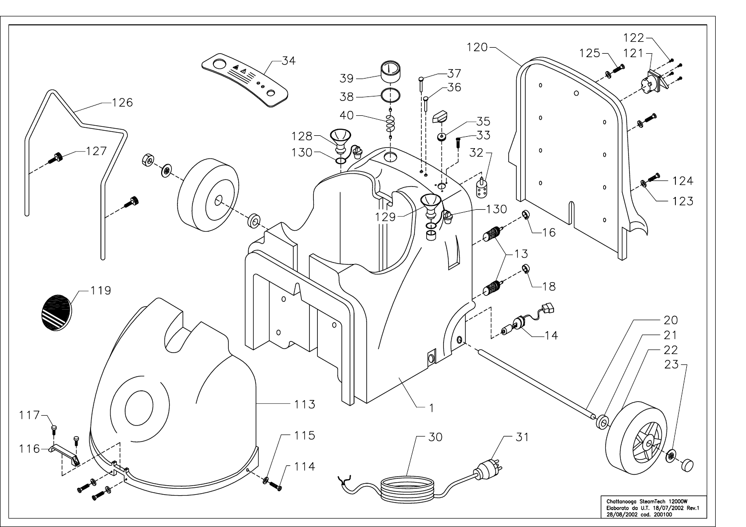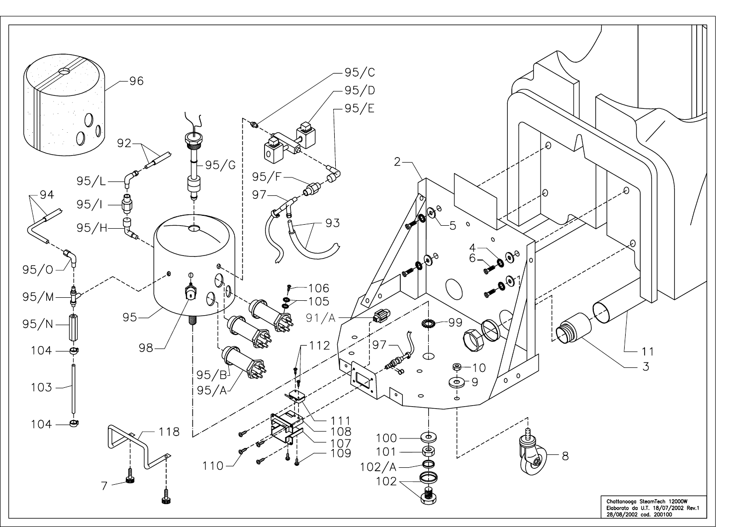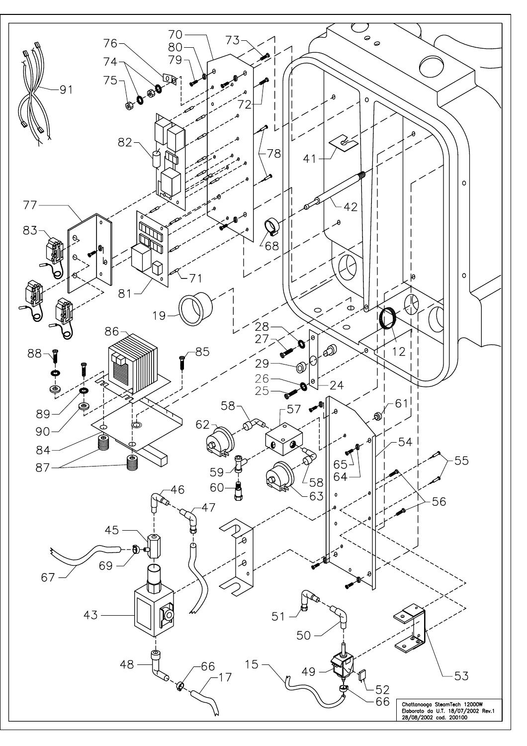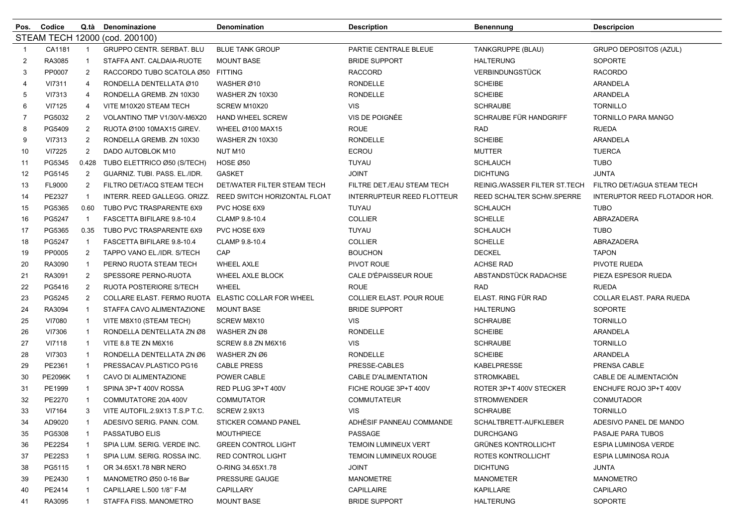| Pos.           | Codice                         | Q.tà           | Denominazione                                       | Denomination                 | <b>Description</b>                | <b>Benennung</b>              | <b>Descripcion</b>            |  |  |
|----------------|--------------------------------|----------------|-----------------------------------------------------|------------------------------|-----------------------------------|-------------------------------|-------------------------------|--|--|
|                | STEAM TECH 12000 (cod. 200100) |                |                                                     |                              |                                   |                               |                               |  |  |
| -1             | CA1181                         | $\mathbf{1}$   | <b>GRUPPO CENTR. SERBAT. BLU</b>                    | <b>BLUE TANK GROUP</b>       | PARTIE CENTRALE BLEUE             | TANKGRUPPE (BLAU)             | GRUPO DEPOSITOS (AZUL)        |  |  |
| $\overline{2}$ | RA3085                         |                | STAFFA ANT. CALDAIA-RUOTE                           | <b>MOUNT BASE</b>            | <b>BRIDE SUPPORT</b>              | <b>HALTERUNG</b>              | <b>SOPORTE</b>                |  |  |
| 3              | PP0007                         | 2              | RACCORDO TUBO SCATOLA Ø50 FITTING                   |                              | <b>RACCORD</b>                    | <b>VERBINDUNGSTÜCK</b>        | <b>RACORDO</b>                |  |  |
| 4              | VI7311                         | 4              | RONDELLA DENTELLATA Ø10                             | WASHER Ø10                   | <b>RONDELLE</b>                   | <b>SCHEIBE</b>                | ARANDELA                      |  |  |
| 5              | VI7313                         | 4              | RONDELLA GREMB. ZN 10X30                            | WASHER ZN 10X30              | <b>RONDELLE</b>                   | <b>SCHEIBE</b>                | ARANDELA                      |  |  |
| 6              | VI7125                         | 4              | VITE M10X20 STEAM TECH                              | SCREW M10X20                 | <b>VIS</b>                        | <b>SCHRAUBE</b>               | <b>TORNILLO</b>               |  |  |
| $\overline{7}$ | PG5032                         | 2              | VOLANTINO TMP V1/30/V-M6X20                         | <b>HAND WHEEL SCREW</b>      | VIS DE POIGNÉE                    | SCHRAUBE FÜR HANDGRIFF        | TORNILLO PARA MANGO           |  |  |
| 8              | PG5409                         | 2              | RUOTA Ø100 10MAX15 GIREV.                           | WHEEL Ø100 MAX15             | <b>ROUE</b>                       | <b>RAD</b>                    | <b>RUEDA</b>                  |  |  |
| 9              | VI7313                         | $\overline{2}$ | RONDELLA GREMB, ZN 10X30                            | WASHER ZN 10X30              | <b>RONDELLE</b>                   | <b>SCHEIBE</b>                | ARANDELA                      |  |  |
| 10             | VI7225                         | $\overline{2}$ | DADO AUTOBLOK M10                                   | NUT M10                      | <b>ECROU</b>                      | <b>MUTTER</b>                 | <b>TUERCA</b>                 |  |  |
| 11             | PG5345                         | 0.428          | TUBO ELETTRICO Ø50 (S/TECH)                         | HOSE Ø50                     | <b>TUYAU</b>                      | <b>SCHLAUCH</b>               | <b>TUBO</b>                   |  |  |
| 12             | PG5145                         | $\overline{2}$ | GUARNIZ. TUBI. PASS. EL./IDR.                       | <b>GASKET</b>                | <b>JOINT</b>                      | <b>DICHTUNG</b>               | <b>JUNTA</b>                  |  |  |
| 13             | FL9000                         | $\overline{2}$ | FILTRO DET/ACQ STEAM TECH                           | DET/WATER FILTER STEAM TECH  | FILTRE DET./EAU STEAM TECH        | REINIG./WASSER FILTER ST.TECH | FILTRO DET/AGUA STEAM TECH    |  |  |
| 14             | PE2327                         | $\mathbf{1}$   | INTERR. REED GALLEGG. ORIZZ.                        | REED SWITCH HORIZONTAL FLOAT | <b>INTERRUPTEUR REED FLOTTEUR</b> | REED SCHALTER SCHW.SPERRE     | INTERUPTOR REED FLOTADOR HOR. |  |  |
| 15             | PG5365                         | 0.60           | TUBO PVC TRASPARENTE 6X9                            | PVC HOSE 6X9                 | TUYAU                             | <b>SCHLAUCH</b>               | <b>TUBO</b>                   |  |  |
| 16             | PG5247                         | $\mathbf{1}$   | FASCETTA BIFILARE 9.8-10.4                          | CLAMP 9.8-10.4               | <b>COLLIER</b>                    | <b>SCHELLE</b>                | ABRAZADERA                    |  |  |
| 17             | PG5365                         | 0.35           | TUBO PVC TRASPARENTE 6X9                            | PVC HOSE 6X9                 | TUYAU                             | <b>SCHLAUCH</b>               | <b>TUBO</b>                   |  |  |
| 18             | PG5247                         | $\mathbf{1}$   | FASCETTA BIFILARE 9.8-10.4                          | CLAMP 9.8-10.4               | <b>COLLIER</b>                    | <b>SCHELLE</b>                | ABRAZADERA                    |  |  |
| 19             | PP0005                         | $\overline{2}$ | TAPPO VANO EL./IDR. S/TECH                          | CAP                          | <b>BOUCHON</b>                    | <b>DECKEL</b>                 | <b>TAPON</b>                  |  |  |
| 20             | RA3090                         | -1             | PERNO RUOTA STEAM TECH                              | <b>WHEEL AXLE</b>            | PIVOT ROUE                        | ACHSE RAD                     | PIVOTE RUEDA                  |  |  |
| 21             | RA3091                         | $\overline{2}$ | SPESSORE PERNO-RUOTA                                | WHEEL AXLE BLOCK             | CALE D'ÉPAISSEUR ROUE             | ABSTANDSTÜCK RADACHSE         | PIEZA ESPESOR RUEDA           |  |  |
| 22             | PG5416                         | $\overline{2}$ | RUOTA POSTERIORE S/TECH                             | <b>WHEEL</b>                 | <b>ROUE</b>                       | <b>RAD</b>                    | <b>RUEDA</b>                  |  |  |
| 23             | PG5245                         | $\overline{2}$ | COLLARE ELAST. FERMO RUOTA ELASTIC COLLAR FOR WHEEL |                              | COLLIER ELAST. POUR ROUE          | ELAST. RING FÜR RAD           | COLLAR ELAST. PARA RUEDA      |  |  |
| 24             | RA3094                         |                | STAFFA CAVO ALIMENTAZIONE                           | <b>MOUNT BASE</b>            | <b>BRIDE SUPPORT</b>              | <b>HALTERUNG</b>              | <b>SOPORTE</b>                |  |  |
| 25             | VI7080                         | $\mathbf{1}$   | VITE M8X10 (STEAM TECH)                             | SCREW M8X10                  | <b>VIS</b>                        | <b>SCHRAUBE</b>               | <b>TORNILLO</b>               |  |  |
| 26             | VI7306                         | -1             | RONDELLA DENTELLATA ZN Ø8                           | WASHER ZN Ø8                 | <b>RONDELLE</b>                   | <b>SCHEIBE</b>                | ARANDELA                      |  |  |
| 27             | VI7118                         | $\mathbf{1}$   | VITE 8.8 TE ZN M6X16                                | SCREW 8.8 ZN M6X16           | <b>VIS</b>                        | <b>SCHRAUBE</b>               | <b>TORNILLO</b>               |  |  |
| 28             | VI7303                         | -1             | RONDELLA DENTELLATA ZN Ø6                           | WASHER ZN Ø6                 | <b>RONDELLE</b>                   | <b>SCHEIBE</b>                | ARANDELA                      |  |  |
| 29             | PE2361                         | $\mathbf{1}$   | PRESSACAV.PLASTICO PG16                             | <b>CABLE PRESS</b>           | PRESSE-CABLES                     | <b>KABELPRESSE</b>            | PRENSA CABLE                  |  |  |
| 30             | <b>PE2096K</b>                 | $\mathbf{1}$   | CAVO DI ALIMENTAZIONE                               | POWER CABLE                  | <b>CABLE D'ALIMENTATION</b>       | <b>STROMKABEL</b>             | CABLE DE ALIMENTACIÓN         |  |  |
| 31             | PE1999                         |                | SPINA 3P+T 400V ROSSA                               | RED PLUG 3P+T 400V           | FICHE ROUGE 3P+T 400V             | ROTER 3P+T 400V STECKER       | ENCHUFE ROJO 3P+T 400V        |  |  |
| 32             | PE2270                         |                | COMMUTATORE 20A 400V                                | <b>COMMUTATOR</b>            | <b>COMMUTATEUR</b>                | <b>STROMWENDER</b>            | <b>CONMUTADOR</b>             |  |  |
| 33             | VI7164                         | 3              | VITE AUTOFIL.2.9X13 T.S.P T.C.                      | <b>SCREW 2.9X13</b>          | <b>VIS</b>                        | <b>SCHRAUBE</b>               | <b>TORNILLO</b>               |  |  |
| 34             | AD9020                         | -1             | ADESIVO SERIG. PANN. COM.                           | STICKER COMAND PANEL         | ADHESIF PANNEAU COMMANDE          | SCHALTBRETT-AUFKLEBER         | ADESIVO PANEL DE MANDO        |  |  |
| 35             | PG5308                         |                | PASSATUBO ELIS                                      | <b>MOUTHPIECE</b>            | PASSAGE                           | <b>DURCHGANG</b>              | PASAJE PARA TUBOS             |  |  |
| 36             | <b>PE22S4</b>                  | -1             | SPIA LUM. SERIG. VERDE INC.                         | <b>GREEN CONTROL LIGHT</b>   | <b>TEMOIN LUMINEUX VERT</b>       | <b>GRÜNES KONTROLLICHT</b>    | ESPIA LUMINOSA VERDE          |  |  |
| 37             | <b>PE22S3</b>                  |                | SPIA LUM. SERIG. ROSSA INC.                         | RED CONTROL LIGHT            | <b>TEMOIN LUMINEUX ROUGE</b>      | ROTES KONTROLLICHT            | ESPIA LUMINOSA ROJA           |  |  |
| 38             | PG5115                         |                | OR 34.65X1.78 NBR NERO                              | O-RING 34.65X1.78            | <b>JOINT</b>                      | <b>DICHTUNG</b>               | JUNTA                         |  |  |
| 39             | PE2430                         |                | MANOMETRO Ø50 0-16 Bar                              | PRESSURE GAUGE               | MANOMETRE                         | <b>MANOMETER</b>              | <b>MANOMETRO</b>              |  |  |
| 40             | PE2414                         |                | CAPILLARE L.500 1/8" F-M                            | CAPILLARY                    | <b>CAPILLAIRE</b>                 | <b>KAPILLARE</b>              | CAPILARO                      |  |  |
| 41             | RA3095                         |                | STAFFA FISS. MANOMETRO                              | <b>MOUNT BASE</b>            | <b>BRIDE SUPPORT</b>              | <b>HALTERUNG</b>              | SOPORTE                       |  |  |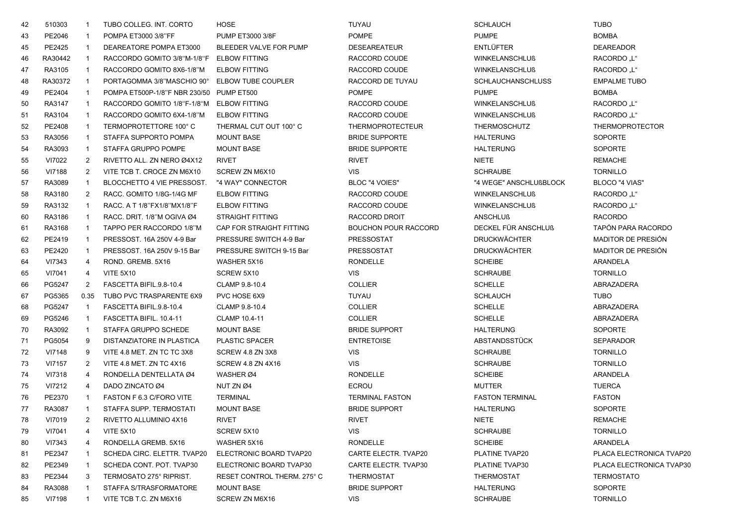| 42 | 510303  | -1             | TUBO COLLEG. INT. CORTO                       | <b>HOSE</b>                 | <b>TUYAU</b>                | <b>SCHLAUCH</b>          | <b>TUBO</b>              |
|----|---------|----------------|-----------------------------------------------|-----------------------------|-----------------------------|--------------------------|--------------------------|
| 43 | PE2046  |                | POMPA ET3000 3/8"FF                           | <b>PUMP ET3000 3/8F</b>     | <b>POMPE</b>                | <b>PUMPE</b>             | <b>BOMBA</b>             |
| 45 | PE2425  |                | DEAREATORE POMPA ET3000                       | BLEEDER VALVE FOR PUMP      | <b>DESEAREATEUR</b>         | <b>ENTLÜFTER</b>         | <b>DEAREADOR</b>         |
| 46 | RA30442 |                | RACCORDO GOMITO 3/8"M-1/8"F ELBOW FITTING     |                             | RACCORD COUDE               | <b>WINKELANSCHLUß</b>    | <b>RACORDO</b> "L"       |
| 47 | RA3105  |                | RACCORDO GOMITO 8X6-1/8"M                     | <b>ELBOW FITTING</b>        | RACCORD COUDE               | <b>WINKELANSCHLUß</b>    | RACORDO "L"              |
| 48 | RA30372 | $\mathbf{1}$   | PORTAGOMMA 3/8"MASCHIO 90° ELBOW TUBE COUPLER |                             | RACCORD DE TUYAU            | <b>SCHLAUCHANSCHLUSS</b> | <b>EMPALME TUBO</b>      |
| 49 | PE2404  | -1             | POMPA ET500P-1/8"F NBR 230/50 PUMP ET500      |                             | <b>POMPE</b>                | <b>PUMPE</b>             | <b>BOMBA</b>             |
| 50 | RA3147  | -1             | RACCORDO GOMITO 1/8"F-1/8"M ELBOW FITTING     |                             | RACCORD COUDE               | <b>WINKELANSCHLUß</b>    | RACORDO "L"              |
| 51 | RA3104  |                | RACCORDO GOMITO 6X4-1/8"M                     | <b>ELBOW FITTING</b>        | RACCORD COUDE               | <b>WINKELANSCHLUß</b>    | RACORDO "L"              |
| 52 | PE2408  |                | TERMOPROTETTORE 100°C                         | THERMAL CUT OUT 100° C      | <b>THERMOPROTECTEUR</b>     | THERMOSCHUTZ             | <b>THERMOPROTECTOR</b>   |
| 53 | RA3056  | 1              | STAFFA SUPPORTO POMPA                         | <b>MOUNT BASE</b>           | <b>BRIDE SUPPORTE</b>       | <b>HALTERUNG</b>         | <b>SOPORTE</b>           |
| 54 | RA3093  | -1             | STAFFA GRUPPO POMPE                           | <b>MOUNT BASE</b>           | <b>BRIDE SUPPORTE</b>       | <b>HALTERUNG</b>         | <b>SOPORTE</b>           |
| 55 | VI7022  | 2              | RIVETTO ALL. ZN NERO Ø4X12                    | <b>RIVET</b>                | <b>RIVET</b>                | <b>NIETE</b>             | <b>REMACHE</b>           |
| 56 | VI7188  | $\overline{2}$ | VITE TCB T. CROCE ZN M6X10                    | SCREW ZN M6X10              | VIS                         | <b>SCHRAUBE</b>          | <b>TORNILLO</b>          |
| 57 | RA3089  |                | BLOCCHETTO 4 VIE PRESSOST.                    | "4 WAY" CONNECTOR           | BLOC "4 VOIES"              | "4 WEGE" ANSCHLUßBLOCK   | BLOCO "4 VIAS"           |
| 58 | RA3180  | 2              | RACC. GOMITO 1/8G-1/4G MF                     | <b>ELBOW FITTING</b>        | RACCORD COUDE               | <b>WINKELANSCHLUß</b>    | RACORDO "L"              |
| 59 | RA3132  |                | RACC. A T 1/8"FX1/8"MX1/8"F                   | <b>ELBOW FITTING</b>        | RACCORD COUDE               | <b>WINKELANSCHLUß</b>    | RACORDO "L"              |
| 60 | RA3186  |                | RACC, DRIT, 1/8"M OGIVA Ø4                    | <b>STRAIGHT FITTING</b>     | RACCORD DROIT               | <b>ANSCHLUß</b>          | <b>RACORDO</b>           |
| 61 | RA3168  |                | TAPPO PER RACCORDO 1/8"M                      | CAP FOR STRAIGHT FITTING    | <b>BOUCHON POUR RACCORD</b> | DECKEL FÜR ANSCHLUß      | TAPÓN PARA RACORDO       |
| 62 | PE2419  | -1             | PRESSOST. 16A 250V 4-9 Bar                    | PRESSURE SWITCH 4-9 Bar     | <b>PRESSOSTAT</b>           | <b>DRUCKWÄCHTER</b>      | MADITOR DE PRESIÓN       |
| 63 | PE2420  | -1             | PRESSOST. 16A 250V 9-15 Bar                   | PRESSURE SWITCH 9-15 Bar    | <b>PRESSOSTAT</b>           | <b>DRUCKWÄCHTER</b>      | MADITOR DE PRESIÓN       |
| 64 | VI7343  | 4              | ROND. GREMB. 5X16                             | WASHER 5X16                 | <b>RONDELLE</b>             | <b>SCHEIBE</b>           | ARANDELA                 |
| 65 | VI7041  | 4              | <b>VITE 5X10</b>                              | SCREW 5X10                  | <b>VIS</b>                  | <b>SCHRAUBE</b>          | <b>TORNILLO</b>          |
| 66 | PG5247  | 2              | FASCETTA BIFIL.9.8-10.4                       | CLAMP 9.8-10.4              | <b>COLLIER</b>              | <b>SCHELLE</b>           | ABRAZADERA               |
| 67 | PG5365  | 0.35           | TUBO PVC TRASPARENTE 6X9                      | PVC HOSE 6X9                | TUYAU                       | <b>SCHLAUCH</b>          | TUBO                     |
| 68 | PG5247  | -1             | FASCETTA BIFIL.9.8-10.4                       | CLAMP 9.8-10.4              | <b>COLLIER</b>              | <b>SCHELLE</b>           | ABRAZADERA               |
| 69 | PG5246  |                | FASCETTA BIFIL. 10.4-11                       | CLAMP 10.4-11               | <b>COLLIER</b>              | <b>SCHELLE</b>           | ABRAZADERA               |
| 70 | RA3092  | -1             | STAFFA GRUPPO SCHEDE                          | <b>MOUNT BASE</b>           | <b>BRIDE SUPPORT</b>        | <b>HALTERUNG</b>         | <b>SOPORTE</b>           |
| 71 | PG5054  | 9              | DISTANZIATORE IN PLASTICA                     | <b>PLASTIC SPACER</b>       | <b>ENTRETOISE</b>           | ABSTANDSSTÜCK            | <b>SEPARADOR</b>         |
| 72 | VI7148  | 9              | VITE 4.8 MET. ZN TC TC 3X8                    | SCREW 4.8 ZN 3X8            | VIS.                        | <b>SCHRAUBE</b>          | <b>TORNILLO</b>          |
| 73 | VI7157  | 2              | VITE 4.8 MET. ZN TC 4X16                      | SCREW 4.8 ZN 4X16           | VIS                         | <b>SCHRAUBE</b>          | <b>TORNILLO</b>          |
| 74 | VI7318  | 4              | RONDELLA DENTELLATA Ø4                        | WASHER Ø4                   | <b>RONDELLE</b>             | <b>SCHEIBE</b>           | ARANDELA                 |
| 75 | VI7212  | 4              | DADO ZINCATO Ø4                               | NUT ZN Ø4                   | <b>ECROU</b>                | <b>MUTTER</b>            | <b>TUERCA</b>            |
| 76 | PE2370  |                | FASTON F 6.3 C/FORO VITE                      | <b>TERMINAL</b>             | <b>TERMINAL FASTON</b>      | <b>FASTON TERMINAL</b>   | <b>FASTON</b>            |
| 77 | RA3087  | $\mathbf{1}$   | STAFFA SUPP. TERMOSTATI                       | <b>MOUNT BASE</b>           | <b>BRIDE SUPPORT</b>        | <b>HALTERUNG</b>         | <b>SOPORTE</b>           |
| 78 | VI7019  | 2              | RIVETTO ALLUMINIO 4X16                        | <b>RIVET</b>                | <b>RIVET</b>                | NIETE                    | <b>REMACHE</b>           |
| 79 | VI7041  | 4              | <b>VITE 5X10</b>                              | SCREW 5X10                  | <b>VIS</b>                  | <b>SCHRAUBE</b>          | <b>TORNILLO</b>          |
| 80 | VI7343  | 4              | RONDELLA GREMB, 5X16                          | WASHER 5X16                 | <b>RONDELLE</b>             | <b>SCHEIBE</b>           | ARANDELA                 |
| 81 | PE2347  |                | SCHEDA CIRC. ELETTR. TVAP20                   | ELECTRONIC BOARD TVAP20     | CARTE ELECTR. TVAP20        | PLATINE TVAP20           | PLACA ELECTRONICA TVAP20 |
| 82 | PE2349  |                | SCHEDA CONT. POT. TVAP30                      | ELECTRONIC BOARD TVAP30     | CARTE ELECTR. TVAP30        | PLATINE TVAP30           | PLACA ELECTRONICA TVAP30 |
| 83 | PE2344  | 3              | TERMOSATO 275° RIPRIST.                       | RESET CONTROL THERM. 275° C | <b>THERMOSTAT</b>           | <b>THERMOSTAT</b>        | <b>TERMOSTATO</b>        |
| 84 | RA3088  |                | STAFFA S/TRASFORMATORE                        | <b>MOUNT BASE</b>           | <b>BRIDE SUPPORT</b>        | <b>HALTERUNG</b>         | <b>SOPORTE</b>           |
| 85 | VI7198  |                | VITE TCB T.C. ZN M6X16                        | SCREW ZN M6X16              | VIS.                        | <b>SCHRAUBE</b>          | <b>TORNILLO</b>          |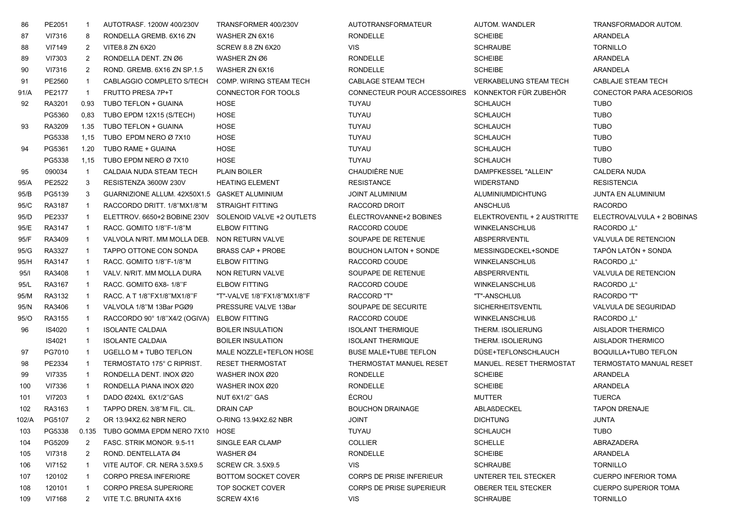| 86    | PE2051 | -1             | AUTOTRASF. 1200W 400/230V                     | TRANSFORMER 400/230V        | AUTOTRANSFORMATEUR              | <b>AUTOM. WANDLER</b>         | TRANSFORMADOR AUTOM.           |
|-------|--------|----------------|-----------------------------------------------|-----------------------------|---------------------------------|-------------------------------|--------------------------------|
| 87    | VI7316 | 8              | RONDELLA GREMB. 6X16 ZN                       | WASHER ZN 6X16              | <b>RONDELLE</b>                 | <b>SCHEIBE</b>                | ARANDELA                       |
| 88    | VI7149 | 2              | VITE8.8 ZN 6X20                               | <b>SCREW 8.8 ZN 6X20</b>    | <b>VIS</b>                      | <b>SCHRAUBE</b>               | <b>TORNILLO</b>                |
| 89    | VI7303 | 2              | RONDELLA DENT. ZN Ø6                          | WASHER ZN Ø6                | <b>RONDELLE</b>                 | <b>SCHEIBE</b>                | ARANDELA                       |
| 90    | VI7316 | $\overline{2}$ | ROND. GREMB. 6X16 ZN SP.1.5                   | WASHER ZN 6X16              | <b>RONDELLE</b>                 | <b>SCHEIBE</b>                | ARANDELA                       |
| 91    | PE2560 | -1             | CABLAGGIO COMPLETO S/TECH                     | COMP. WIRING STEAM TECH     | <b>CABLAGE STEAM TECH</b>       | <b>VERKABELUNG STEAM TECH</b> | <b>CABLAJE STEAM TECH</b>      |
| 91/A  | PE2177 | $\mathbf{1}$   | FRUTTO PRESA 7P+T                             | CONNECTOR FOR TOOLS         | CONNECTEUR POUR ACCESSOIRES     | KONNEKTOR FÜR ZUBEHÖR         | CONECTOR PARA ACESORIOS        |
| 92    | RA3201 | 0.93           | TUBO TEFLON + GUAINA                          | HOSE                        | <b>TUYAU</b>                    | <b>SCHLAUCH</b>               | <b>TUBO</b>                    |
|       | PG5360 | 0,83           | TUBO EPDM 12X15 (S/TECH)                      | <b>HOSE</b>                 | <b>TUYAU</b>                    | <b>SCHLAUCH</b>               | <b>TUBO</b>                    |
| 93    | RA3209 | 1.35           | TUBO TEFLON + GUAINA                          | <b>HOSE</b>                 | TUYAU                           | <b>SCHLAUCH</b>               | <b>TUBO</b>                    |
|       | PG5338 | 1,15           | TUBO EPDM NERO Ø 7X10                         | <b>HOSE</b>                 | TUYAU                           | <b>SCHLAUCH</b>               | <b>TUBO</b>                    |
| 94    | PG5361 | 1.20           | TUBO RAME + GUAINA                            | HOSE                        | TUYAU                           | <b>SCHLAUCH</b>               | <b>TUBO</b>                    |
|       | PG5338 | 1,15           | TUBO EPDM NERO Ø 7X10                         | <b>HOSE</b>                 | <b>TUYAU</b>                    | <b>SCHLAUCH</b>               | <b>TUBO</b>                    |
| 95    | 090034 | $\overline{1}$ | CALDAIA NUDA STEAM TECH                       | <b>PLAIN BOILER</b>         | CHAUDIÈRE NUE                   | DAMPFKESSEL "ALLEIN"          | CALDERA NUDA                   |
| 95/A  | PE2522 | 3              | RESISTENZA 3600W 230V                         | <b>HEATING ELEMENT</b>      | <b>RESISTANCE</b>               | <b>WIDERSTAND</b>             | <b>RESISTENCIA</b>             |
| 95/B  | PG5139 | 3              | GUARNIZIONE ALLUM. 42X50X1.5 GASKET ALUMINIUM |                             | <b>JOINT ALUMINIUM</b>          | ALUMINIUMDICHTUNG             | JUNTA EN ALUMINIUM             |
| 95/C  | RA3187 | -1             | RACCORDO DRITT. 1/8"MX1/8"M                   | <b>STRAIGHT FITTING</b>     | RACCORD DROIT                   | <b>ANSCHLUß</b>               | <b>RACORDO</b>                 |
| 95/D  | PE2337 | $\mathbf{1}$   | ELETTROV. 6650+2 BOBINE 230V                  | SOLENOID VALVE +2 OUTLETS   | ÉLECTROVANNE+2 BOBINES          | ELEKTROVENTIL + 2 AUSTRITTE   | ELECTROVALVULA + 2 BOBINAS     |
| 95/E  | RA3147 | $\mathbf{1}$   | RACC. GOMITO 1/8"F-1/8"M                      | <b>ELBOW FITTING</b>        | RACCORD COUDE                   | <b>WINKELANSCHLUß</b>         | RACORDO "L"                    |
| 95/F  | RA3409 | -1             | VALVOLA N/RIT. MM MOLLA DEB.                  | NON RETURN VALVE            | SOUPAPE DE RETENUE              | ABSPERRVENTIL                 | VALVULA DE RETENCION           |
| 95/G  | RA3327 | -1             | TAPPO OTTONE CON SONDA                        | <b>BRASS CAP + PROBE</b>    | <b>BOUCHON LAITON + SONDE</b>   | MESSINGDECKEL+SONDE           | TAPÓN LATÓN + SONDA            |
| 95/H  | RA3147 | -1             | RACC. GOMITO 1/8"F-1/8"M                      | <b>ELBOW FITTING</b>        | RACCORD COUDE                   | <b>WINKELANSCHLUß</b>         | RACORDO "L"                    |
| 95/1  | RA3408 |                | VALV. N/RIT. MM MOLLA DURA                    | NON RETURN VALVE            | SOUPAPE DE RETENUE              | <b>ABSPERRVENTIL</b>          | <b>VALVULA DE RETENCION</b>    |
| 95/L  | RA3167 | -1             | RACC. GOMITO 6X8-1/8"F                        | <b>ELBOW FITTING</b>        | RACCORD COUDE                   | <b>WINKELANSCHLUß</b>         | RACORDO "L"                    |
| 95/M  | RA3132 | $\mathbf{1}$   | RACC. A T 1/8"FX1/8"MX1/8"F                   | "T"-VALVE 1/8"FX1/8"MX1/8"F | <b>RACCORD "T"</b>              | "T"-ANSCHLUß                  | <b>RACORDO "T"</b>             |
| 95/N  | RA3406 | $\mathbf{1}$   | VALVOLA 1/8"M 13Bar PGØ9                      | PRESSURE VALVE 13Bar        | SOUPAPE DE SECURITE             | <b>SICHERHEITSVENTIL</b>      | VALVULA DE SEGURIDAD           |
| 95/O  | RA3155 | $\mathbf 1$    | RACCORDO 90° 1/8"X4/2 (OGIVA)                 | <b>ELBOW FITTING</b>        | RACCORD COUDE                   | <b>WINKELANSCHLUß</b>         | RACORDO "L"                    |
| 96    | IS4020 | $\overline{1}$ | <b>ISOLANTE CALDAIA</b>                       | <b>BOILER INSULATION</b>    | <b>ISOLANT THERMIQUE</b>        | THERM. ISOLIERUNG             | AISLADOR THERMICO              |
|       | IS4021 | $\mathbf{1}$   | <b>ISOLANTE CALDAIA</b>                       | <b>BOILER INSULATION</b>    | <b>ISOLANT THERMIQUE</b>        | THERM. ISOLIERUNG             | AISLADOR THERMICO              |
| 97    | PG7010 | -1             | UGELLO M + TUBO TEFLON                        | MALE NOZZLE+TEFLON HOSE     | <b>BUSE MALE+TUBE TEFLON</b>    | DÜSE+TEFLONSCHLAUCH           | <b>BOQUILLA+TUBO TEFLON</b>    |
| 98    | PE2334 | -1             | TERMOSTATO 175° C RIPRIST.                    | <b>RESET THERMOSTAT</b>     | THERMOSTAT MANUEL RESET         | MANUEL. RESET THERMOSTAT      | <b>TERMOSTATO MANUAL RESET</b> |
| 99    | VI7335 | $\mathbf{1}$   | RONDELLA DENT. INOX Ø20                       | WASHER INOX Ø20             | <b>RONDELLE</b>                 | <b>SCHEIBE</b>                | ARANDELA                       |
| 100   | VI7336 | $\mathbf{1}$   | RONDELLA PIANA INOX Ø20                       | WASHER INOX Ø20             | <b>RONDELLE</b>                 | <b>SCHEIBE</b>                | ARANDELA                       |
| 101   | VI7203 | $\mathbf{1}$   | DADO Ø24XL 6X1/2"GAS                          | NUT 6X1/2" GAS              | ÉCROU                           | <b>MUTTER</b>                 | <b>TUERCA</b>                  |
| 102   | RA3163 |                | TAPPO DREN. 3/8"M FIL. CIL.                   | <b>DRAIN CAP</b>            | <b>BOUCHON DRAINAGE</b>         | ABLAßDECKEL                   | <b>TAPON DRENAJE</b>           |
| 102/A | PG5107 | $\mathbf{2}$   | OR 13.94X2.62 NBR NERO                        | O-RING 13.94X2.62 NBR       | <b>JOINT</b>                    | <b>DICHTUNG</b>               | <b>JUNTA</b>                   |
| 103   | PG5338 | 0.135          | TUBO GOMMA EPDM NERO 7X10                     | HOSE                        | TUYAU                           | <b>SCHLAUCH</b>               | <b>TUBO</b>                    |
| 104   | PG5209 | 2              | FASC. STRIK MONOR, 9.5-11                     | SINGLE EAR CLAMP            | <b>COLLIER</b>                  | <b>SCHELLE</b>                | ABRAZADERA                     |
| 105   | VI7318 | 2              | ROND. DENTELLATA Ø4                           | WASHER Ø4                   | <b>RONDELLE</b>                 | <b>SCHEIBE</b>                | ARANDELA                       |
| 106   | VI7152 |                | VITE AUTOF. CR. NERA 3.5X9.5                  | <b>SCREW CR. 3.5X9.5</b>    | <b>VIS</b>                      | <b>SCHRAUBE</b>               | <b>TORNILLO</b>                |
| 107   | 120102 | -1             | <b>CORPO PRESA INFERIORE</b>                  | BOTTOM SOCKET COVER         | CORPS DE PRISE INFERIEUR        | UNTERER TEIL STECKER          | <b>CUERPO INFERIOR TOMA</b>    |
| 108   | 120101 | -1             | <b>CORPO PRESA SUPERIORE</b>                  | TOP SOCKET COVER            | <b>CORPS DE PRISE SUPERIEUR</b> | OBERER TEIL STECKER           | <b>CUERPO SUPERIOR TOMA</b>    |
| 109   | VI7168 | 2              | VITE T.C. BRUNITA 4X16                        | SCREW 4X16                  | <b>VIS</b>                      | <b>SCHRAUBE</b>               | <b>TORNILLO</b>                |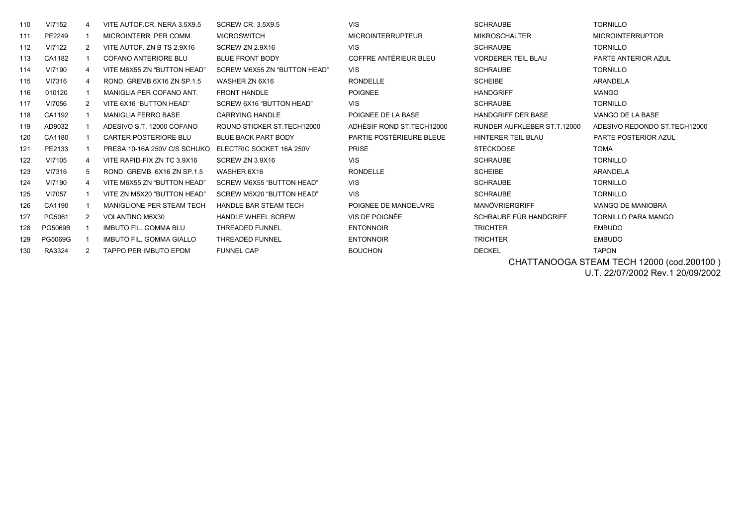| 110 | VI7152         | 4              | VITE AUTOF.CR. NERA 3.5X9.5     | <b>SCREW CR. 3.5X9.5</b>     | <b>VIS</b>                 | <b>SCHRAUBE</b>             | <b>TORNILLO</b>               |
|-----|----------------|----------------|---------------------------------|------------------------------|----------------------------|-----------------------------|-------------------------------|
| 111 | PE2249         |                | MICROINTERR, PER COMM.          | <b>MICROSWITCH</b>           | <b>MICROINTERRUPTEUR</b>   | <b>MIKROSCHALTER</b>        | <b>MICROINTERRUPTOR</b>       |
| 112 | VI7122         | 2              | VITE AUTOF. ZN B TS 2.9X16      | SCREW ZN 2.9X16              | <b>VIS</b>                 | <b>SCHRAUBE</b>             | <b>TORNILLO</b>               |
| 113 | CA1182         |                | COFANO ANTERIORE BLU            | <b>BLUE FRONT BODY</b>       | COFFRE ANTÉRIEUR BLEU      | <b>VORDERER TEIL BLAU</b>   | PARTE ANTERIOR AZUL           |
| 114 | VI7190         | 4              | VITE M6X55 ZN "BUTTON HEAD"     | SCREW M6X55 ZN "BUTTON HEAD" | <b>VIS</b>                 | <b>SCHRAUBE</b>             | <b>TORNILLO</b>               |
| 115 | VI7316         | 4              | ROND, GREMB 6X16 ZN SP.1.5      | WASHER ZN 6X16               | <b>RONDELLE</b>            | <b>SCHEIBE</b>              | ARANDELA                      |
| 116 | 010120         |                | MANIGLIA PER COFANO ANT.        | <b>FRONT HANDLE</b>          | <b>POIGNEE</b>             | <b>HANDGRIFF</b>            | <b>MANGO</b>                  |
| 117 | VI7056         | $\overline{2}$ | VITE 6X16 "BUTTON HEAD"         | SCREW 6X16 "BUTTON HEAD"     | <b>VIS</b>                 | <b>SCHRAUBE</b>             | <b>TORNILLO</b>               |
| 118 | CA1192         |                | <b>MANIGLIA FERRO BASE</b>      | <b>CARRYING HANDLE</b>       | POIGNEE DE LA BASE         | <b>HANDGRIFF DER BASE</b>   | MANGO DE LA BASE              |
| 119 | AD9032         |                | ADESIVO S.T. 12000 COFANO       | ROUND STICKER ST. TECH12000  | ADHÉSIF ROND ST. TECH12000 | RUNDER AUFKLEBER ST.T.12000 | ADESIVO REDONDO ST. TECH12000 |
| 120 | CA1180         |                | <b>CARTER POSTERIORE BLU</b>    | <b>BLUE BACK PART BODY</b>   | PARTIE POSTÉRIEURE BLEUE   | HINTERER TEIL BLAU          | PARTE POSTERIOR AZUL          |
| 121 | PE2133         |                | PRESA 10-16A 250V C/S SCHUKO    | ELECTRIC SOCKET 16A 250V     | <b>PRISE</b>               | <b>STECKDOSE</b>            | <b>TOMA</b>                   |
| 122 | VI7105         | 4              | VITE RAPID-FIX ZN TC 3.9X16     | SCREW ZN 3.9X16              | <b>VIS</b>                 | <b>SCHRAUBE</b>             | <b>TORNILLO</b>               |
| 123 | VI7316         | 5              | ROND, GREMB, 6X16 ZN SP.1.5     | WASHER 6X16                  | <b>RONDELLE</b>            | <b>SCHEIBE</b>              | <b>ARANDELA</b>               |
| 124 | VI7190         | 4              | VITE M6X55 ZN "BUTTON HEAD"     | SCREW M6X55 "BUTTON HEAD"    | <b>VIS</b>                 | <b>SCHRAUBE</b>             | <b>TORNILLO</b>               |
| 125 | VI7057         |                | VITE ZN M5X20 "BUTTON HEAD"     | SCREW M5X20 "BUTTON HEAD"    | <b>VIS</b>                 | <b>SCHRAUBE</b>             | <b>TORNILLO</b>               |
| 126 | CA1190         |                | MANIGLIONE PER STEAM TECH       | HANDLE BAR STEAM TECH        | POIGNEE DE MANOEUVRE       | <b>MANÖVRIERGRIFF</b>       | <b>MANGO DE MANIOBRA</b>      |
| 127 | PG5061         | 2              | VOLANTINO M6X30                 | <b>HANDLE WHEEL SCREW</b>    | VIS DE POIGNÉE             | SCHRAUBE FÜR HANDGRIFF      | <b>TORNILLO PARA MANGO</b>    |
| 128 | <b>PG5069B</b> |                | <b>IMBUTO FIL. GOMMA BLU</b>    | <b>THREADED FUNNEL</b>       | <b>ENTONNOIR</b>           | <b>TRICHTER</b>             | <b>EMBUDO</b>                 |
| 129 | PG5069G        |                | <b>IMBUTO FIL. GOMMA GIALLO</b> | <b>THREADED FUNNEL</b>       | <b>ENTONNOIR</b>           | <b>TRICHTER</b>             | <b>EMBUDO</b>                 |
| 130 | RA3324         | 2              | TAPPO PER IMBUTO EPDM           | <b>FUNNEL CAP</b>            | <b>BOUCHON</b>             | <b>DECKEL</b>               | <b>TAPON</b>                  |
|     |                |                |                                 |                              |                            |                             |                               |

 CHATTANOOGA STEAM TECH 12000 (cod.200100 ) U.T. 22/07/2002 Rev.1 20/09/2002